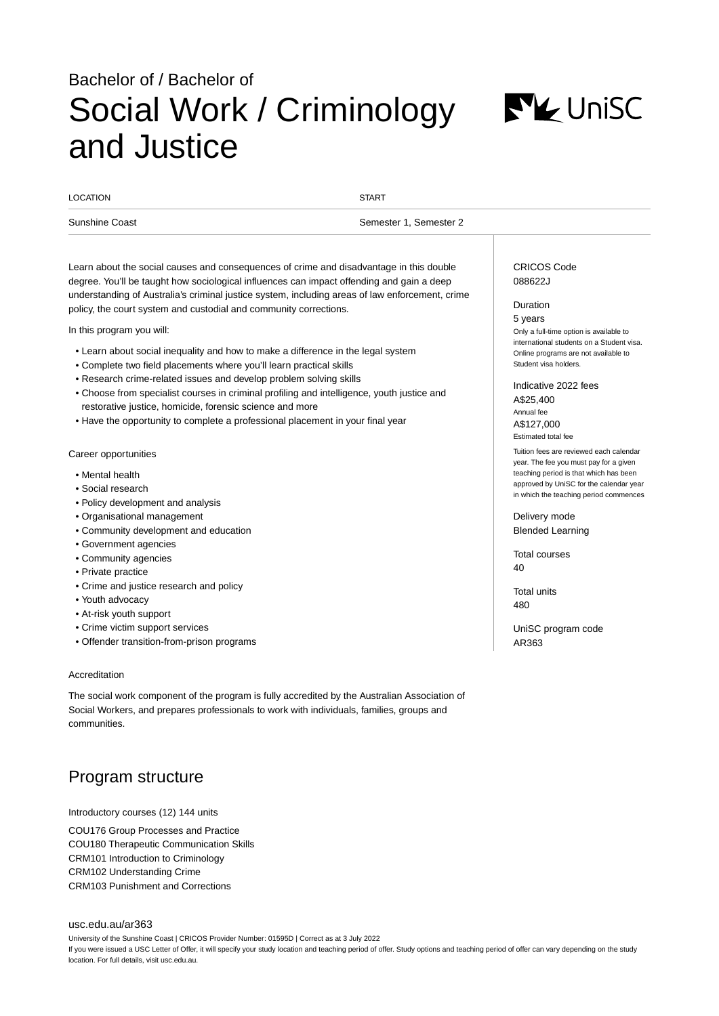# Bachelor of / Bachelor of Social Work / Criminology and Justice



| <b>LOCATION</b> | <b>START</b>              |
|-----------------|---------------------------|
| Sunshine Coast  | Semester 2<br>Semester 1. |

Learn about the social causes and consequences of crime and disadvantage in this double degree. You'll be taught how sociological influences can impact offending and gain a deep understanding of Australia's criminal justice system, including areas of law enforcement, crime policy, the court system and custodial and community corrections.

In this program you will:

- Learn about social inequality and how to make a difference in the legal system
- Complete two field placements where you'll learn practical skills
- Research crime-related issues and develop problem solving skills
- Choose from specialist courses in criminal profiling and intelligence, youth justice and restorative justice, homicide, forensic science and more
- Have the opportunity to complete a professional placement in your final year

### Career opportunities

- Mental health
- Social research
- Policy development and analysis
- Organisational management
- Community development and education
- Government agencies
- Community agencies
- Private practice
- Crime and justice research and policy
- Youth advocacy
- At-risk youth support
- Crime victim support services
- Offender transition-from-prison programs

#### Accreditation

The social work component of the program is fully accredited by the Australian Association of Social Workers, and prepares professionals to work with individuals, families, groups and communities.

# Program structure

Introductory courses (12) 144 units

COU176 Group Processes and Practice COU180 Therapeutic Communication Skills CRM101 Introduction to Criminology CRM102 Understanding Crime CRM103 Punishment and Corrections

#### [usc.edu.au/ar363](https://www.usc.edu.au/ar363)

University of the Sunshine Coast | CRICOS Provider Number: 01595D | Correct as at 3 July 2022 If you were issued a USC Letter of Offer, it will specify your study location and teaching period of offer. Study options and teaching period of offer can vary depending on the study location. For full details, visit usc.edu.au.

# CRICOS Code 088622J

#### Duration

5 years Only a full-time option is available to international students on a Student visa. Online programs are not available to Student visa holders.

Indicative 2022 fees A\$25,400 Annual fee A\$127,000 Estimated total fee

Tuition fees are reviewed each calendar year. The fee you must pay for a given teaching period is that which has been approved by UniSC for the calendar year in which the teaching period commences

Delivery mode Blended Learning

Total courses 40

Total units 480

UniSC program code AR363